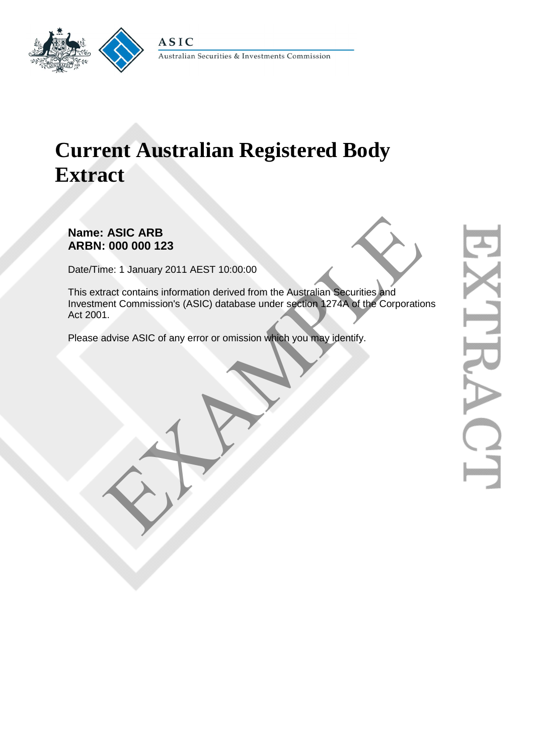

# **Current Australian Registered Body Extract**

# **Name: ASIC ARB ARBN: 000 000 123**

Date/Time: 1 January 2011 AEST 10:00:00

This extract contains information derived from the Australian Securities and Investment Commission's (ASIC) database under section 1274A of the Corporations Act 2001. ASIC ARB<br>
1: 000 000 123<br>
me: 1 January 2011 AEST 10:00:00<br>
ract contains information derived from the Australian Securities and<br>
ent Commission's (ASIC) database under section 1274A of the Corporatio<br>
1.<br>
daty is a ASIC o

Please advise ASIC of any error or omission which you may identify.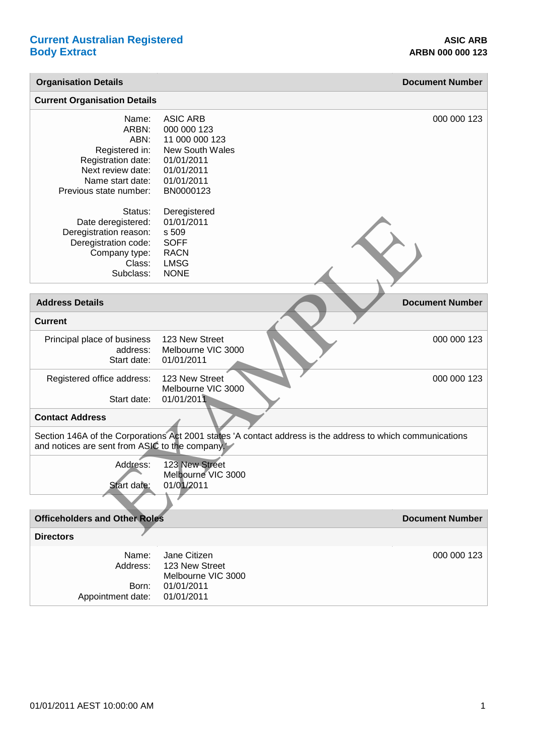| <b>Organisation Details</b>                                                                                                       |                                                                                                                            | <b>Document Number</b> |
|-----------------------------------------------------------------------------------------------------------------------------------|----------------------------------------------------------------------------------------------------------------------------|------------------------|
| <b>Current Organisation Details</b>                                                                                               |                                                                                                                            |                        |
| Name:<br>ARBN:<br>ABN:<br>Registered in:<br>Registration date:<br>Next review date:<br>Name start date:<br>Previous state number: | <b>ASIC ARB</b><br>000 000 123<br>11 000 000 123<br>New South Wales<br>01/01/2011<br>01/01/2011<br>01/01/2011<br>BN0000123 | 000 000 123            |
| Status:<br>Date deregistered:<br>Deregistration reason:<br>Deregistration code:<br>Company type:<br>Class:<br>Subclass:           | Deregistered<br>01/01/2011<br>s 509<br><b>SOFF</b><br><b>RACN</b><br><b>LMSG</b><br><b>NONE</b>                            |                        |
| <b>Address Details</b>                                                                                                            |                                                                                                                            | <b>Document Number</b> |
| <b>Current</b>                                                                                                                    |                                                                                                                            |                        |
| Principal place of business<br>address:<br>Start date:                                                                            | 123 New Street<br>Melbourne VIC 3000<br>01/01/2011                                                                         | 000 000 123            |
| Registered office address:<br>Start date:                                                                                         | 123 New Street<br>Melbourne VIC 3000<br>01/01/2011                                                                         | 000 000 123            |
| <b>Contact Address</b>                                                                                                            |                                                                                                                            |                        |
| and notices are sent from ASIC to the company.                                                                                    | Section 146A of the Corporations Act 2001 states 'A contact address is the address to which communications                 |                        |
| Address:<br>Start date:                                                                                                           | 123 New Street<br>Melbourne VIC 3000<br>01/01/2011                                                                         |                        |
|                                                                                                                                   |                                                                                                                            |                        |
| <b>Officeholders and Other Roles</b>                                                                                              |                                                                                                                            | <b>Document Number</b> |
| <b>Directors</b>                                                                                                                  |                                                                                                                            |                        |
| Name:<br>Address:<br>Born:<br>Appointment date:                                                                                   | Jane Citizen<br>123 New Street<br>Melbourne VIC 3000<br>01/01/2011<br>01/01/2011                                           | 000 000 123            |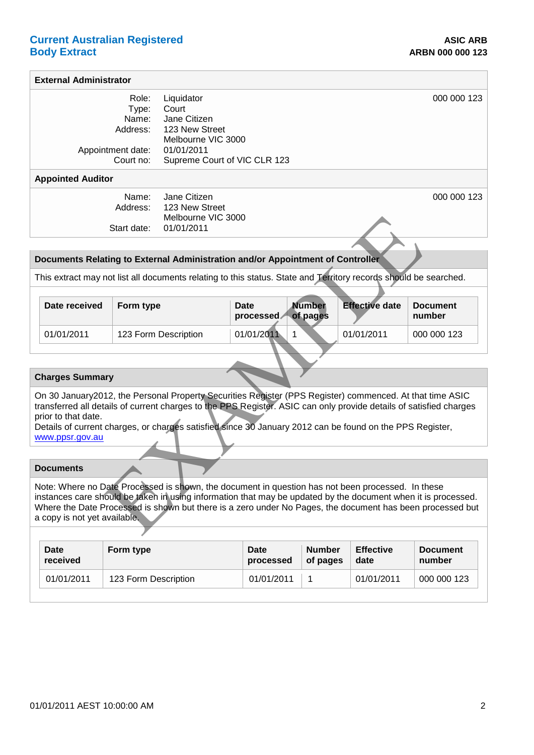## **Current Australian Registered <b>ASIC ARB ASIC ARB Body Extract ARBN 000 000 123**

#### **External Administrator** Role: Type: Name: Address: Appointment date: Court no: **Liquidator Court** Jane Citizen 123 New Street Melbourne VIC 3000 01/01/2011 Supreme Court of VIC CLR 123 000 000 123 **Appointed Auditor** Name: Address: Jane Citizen 123 New Street Melbourne VIC 3000 000 000 123

## **Documents Relating to External Administration and/or Appointment of Controller**

|                                                                                                                                                                                                                                                                                                                                                                                      |                                                                                                                                                                                                                                                                                                                                                                 | Start date: | Melbourne VIC 3000<br>01/01/2011 |                   |                           |                       |                           |  |
|--------------------------------------------------------------------------------------------------------------------------------------------------------------------------------------------------------------------------------------------------------------------------------------------------------------------------------------------------------------------------------------|-----------------------------------------------------------------------------------------------------------------------------------------------------------------------------------------------------------------------------------------------------------------------------------------------------------------------------------------------------------------|-------------|----------------------------------|-------------------|---------------------------|-----------------------|---------------------------|--|
|                                                                                                                                                                                                                                                                                                                                                                                      |                                                                                                                                                                                                                                                                                                                                                                 |             |                                  |                   |                           |                       |                           |  |
|                                                                                                                                                                                                                                                                                                                                                                                      | Documents Relating to External Administration and/or Appointment of Controller                                                                                                                                                                                                                                                                                  |             |                                  |                   |                           |                       |                           |  |
|                                                                                                                                                                                                                                                                                                                                                                                      | This extract may not list all documents relating to this status. State and Territory records should be searched.                                                                                                                                                                                                                                                |             |                                  |                   |                           |                       |                           |  |
|                                                                                                                                                                                                                                                                                                                                                                                      |                                                                                                                                                                                                                                                                                                                                                                 |             |                                  |                   |                           |                       |                           |  |
|                                                                                                                                                                                                                                                                                                                                                                                      | Date received                                                                                                                                                                                                                                                                                                                                                   | Form type   |                                  | Date<br>processed | <b>Number</b><br>of pages | <b>Effective date</b> | <b>Document</b><br>number |  |
|                                                                                                                                                                                                                                                                                                                                                                                      | 01/01/2011                                                                                                                                                                                                                                                                                                                                                      |             | 123 Form Description             | 01/01/2011        | 1                         | 01/01/2011            | 000 000 123               |  |
|                                                                                                                                                                                                                                                                                                                                                                                      |                                                                                                                                                                                                                                                                                                                                                                 |             |                                  |                   |                           |                       |                           |  |
| <b>Charges Summary</b>                                                                                                                                                                                                                                                                                                                                                               |                                                                                                                                                                                                                                                                                                                                                                 |             |                                  |                   |                           |                       |                           |  |
| On 30 January2012, the Personal Property Securities Register (PPS Register) commenced. At that time ASIC<br>transferred all details of current charges to the PPS Register. ASIC can only provide details of satisfied charges<br>prior to that date.<br>Details of current charges, or charges satisfied since 30 January 2012 can be found on the PPS Register,<br>www.ppsr.gov.au |                                                                                                                                                                                                                                                                                                                                                                 |             |                                  |                   |                           |                       |                           |  |
|                                                                                                                                                                                                                                                                                                                                                                                      |                                                                                                                                                                                                                                                                                                                                                                 |             |                                  |                   |                           |                       |                           |  |
|                                                                                                                                                                                                                                                                                                                                                                                      | <b>Documents</b>                                                                                                                                                                                                                                                                                                                                                |             |                                  |                   |                           |                       |                           |  |
|                                                                                                                                                                                                                                                                                                                                                                                      | Note: Where no Date Processed is shown, the document in question has not been processed. In these<br>instances care should be taken in using information that may be updated by the document when it is processed.<br>Where the Date Processed is shown but there is a zero under No Pages, the document has been processed but<br>a copy is not yet available. |             |                                  |                   |                           |                       |                           |  |
|                                                                                                                                                                                                                                                                                                                                                                                      |                                                                                                                                                                                                                                                                                                                                                                 |             |                                  |                   |                           |                       |                           |  |

### **Charges Summary**

## **Documents**

| Date       | Form type            | Date       | <b>Number</b> | <b>Effective</b> | <b>Document</b> |
|------------|----------------------|------------|---------------|------------------|-----------------|
| received   |                      | processed  | of pages      | date             | number          |
| 01/01/2011 | 123 Form Description | 01/01/2011 |               | 01/01/2011       | 000 000 123     |